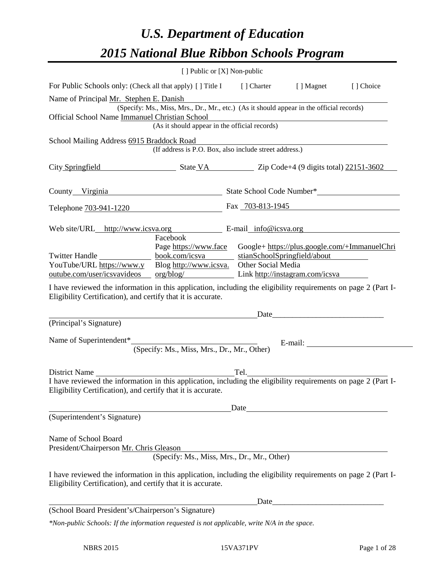# *U.S. Department of Education 2015 National Blue Ribbon Schools Program*

|                                                                                                                                                                                | [ ] Public or [X] Non-public                                                             |                                               |         |           |
|--------------------------------------------------------------------------------------------------------------------------------------------------------------------------------|------------------------------------------------------------------------------------------|-----------------------------------------------|---------|-----------|
| For Public Schools only: (Check all that apply) [] Title I [] Charter [] Magnet                                                                                                |                                                                                          |                                               |         | [] Choice |
| Name of Principal Mr. Stephen E. Danish                                                                                                                                        |                                                                                          |                                               |         |           |
|                                                                                                                                                                                | (Specify: Ms., Miss, Mrs., Dr., Mr., etc.) (As it should appear in the official records) |                                               |         |           |
| Official School Name Immanuel Christian School                                                                                                                                 | (As it should appear in the official records)                                            |                                               |         |           |
|                                                                                                                                                                                |                                                                                          |                                               |         |           |
| School Mailing Address 6915 Braddock Road                                                                                                                                      | raddock Road<br>(If address is P.O. Box, also include street address.)                   |                                               |         |           |
|                                                                                                                                                                                |                                                                                          |                                               |         |           |
| City Springfield State VA Zip Code+4 (9 digits total) 22151-3602                                                                                                               |                                                                                          |                                               |         |           |
| County Virginia State School Code Number*                                                                                                                                      |                                                                                          |                                               |         |           |
| Telephone 703-941-1220                                                                                                                                                         |                                                                                          | Fax 703-813-1945                              |         |           |
|                                                                                                                                                                                |                                                                                          |                                               |         |           |
| Web site/URL_http://www.icsva.org E-mail_info@icsva.org                                                                                                                        |                                                                                          |                                               |         |           |
|                                                                                                                                                                                | Facebook<br>Page https://www.face                                                        | Google+ https://plus.google.com/+ImmanuelChri |         |           |
|                                                                                                                                                                                |                                                                                          | stianSchoolSpringfield/about                  |         |           |
| YouTube/URL https://www.y Blog http://www.icsva. Other Social Media                                                                                                            |                                                                                          |                                               |         |           |
| outube.com/user/icsvavideos org/blog/ Link http://instagram.com/icsva                                                                                                          |                                                                                          |                                               |         |           |
| Eligibility Certification), and certify that it is accurate.<br>(Principal's Signature)<br>Name of Superintendent* (Specify: Ms., Miss, Mrs., Dr., Mr., Other)                 |                                                                                          |                                               | E-mail: |           |
| District Name                                                                                                                                                                  |                                                                                          | Tel.                                          |         |           |
| I have reviewed the information in this application, including the eligibility requirements on page 2 (Part I-                                                                 |                                                                                          |                                               |         |           |
| Eligibility Certification), and certify that it is accurate.                                                                                                                   |                                                                                          |                                               |         |           |
|                                                                                                                                                                                |                                                                                          |                                               |         |           |
| (Superintendent's Signature)                                                                                                                                                   |                                                                                          | Date                                          |         |           |
|                                                                                                                                                                                |                                                                                          |                                               |         |           |
| Name of School Board<br>President/Chairperson Mr. Chris Gleason                                                                                                                |                                                                                          |                                               |         |           |
|                                                                                                                                                                                | (Specify: Ms., Miss, Mrs., Dr., Mr., Other)                                              |                                               |         |           |
| I have reviewed the information in this application, including the eligibility requirements on page 2 (Part I-<br>Eligibility Certification), and certify that it is accurate. |                                                                                          |                                               |         |           |
|                                                                                                                                                                                |                                                                                          | Date                                          |         |           |
| (School Board President's/Chairperson's Signature)                                                                                                                             |                                                                                          |                                               |         |           |
| *Non-public Schools: If the information requested is not applicable, write N/A in the space.                                                                                   |                                                                                          |                                               |         |           |
|                                                                                                                                                                                |                                                                                          |                                               |         |           |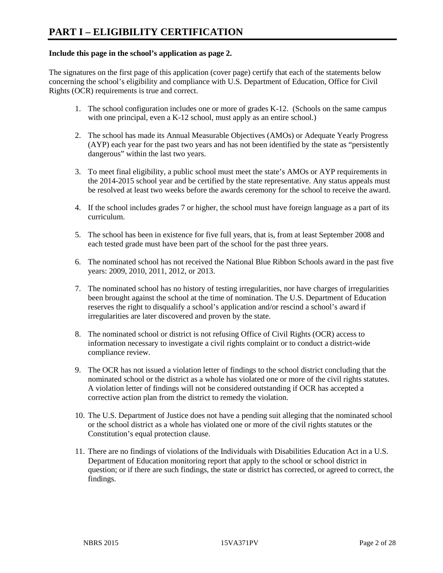#### **Include this page in the school's application as page 2.**

The signatures on the first page of this application (cover page) certify that each of the statements below concerning the school's eligibility and compliance with U.S. Department of Education, Office for Civil Rights (OCR) requirements is true and correct.

- 1. The school configuration includes one or more of grades K-12. (Schools on the same campus with one principal, even a K-12 school, must apply as an entire school.)
- 2. The school has made its Annual Measurable Objectives (AMOs) or Adequate Yearly Progress (AYP) each year for the past two years and has not been identified by the state as "persistently dangerous" within the last two years.
- 3. To meet final eligibility, a public school must meet the state's AMOs or AYP requirements in the 2014-2015 school year and be certified by the state representative. Any status appeals must be resolved at least two weeks before the awards ceremony for the school to receive the award.
- 4. If the school includes grades 7 or higher, the school must have foreign language as a part of its curriculum.
- 5. The school has been in existence for five full years, that is, from at least September 2008 and each tested grade must have been part of the school for the past three years.
- 6. The nominated school has not received the National Blue Ribbon Schools award in the past five years: 2009, 2010, 2011, 2012, or 2013.
- 7. The nominated school has no history of testing irregularities, nor have charges of irregularities been brought against the school at the time of nomination. The U.S. Department of Education reserves the right to disqualify a school's application and/or rescind a school's award if irregularities are later discovered and proven by the state.
- 8. The nominated school or district is not refusing Office of Civil Rights (OCR) access to information necessary to investigate a civil rights complaint or to conduct a district-wide compliance review.
- 9. The OCR has not issued a violation letter of findings to the school district concluding that the nominated school or the district as a whole has violated one or more of the civil rights statutes. A violation letter of findings will not be considered outstanding if OCR has accepted a corrective action plan from the district to remedy the violation.
- 10. The U.S. Department of Justice does not have a pending suit alleging that the nominated school or the school district as a whole has violated one or more of the civil rights statutes or the Constitution's equal protection clause.
- 11. There are no findings of violations of the Individuals with Disabilities Education Act in a U.S. Department of Education monitoring report that apply to the school or school district in question; or if there are such findings, the state or district has corrected, or agreed to correct, the findings.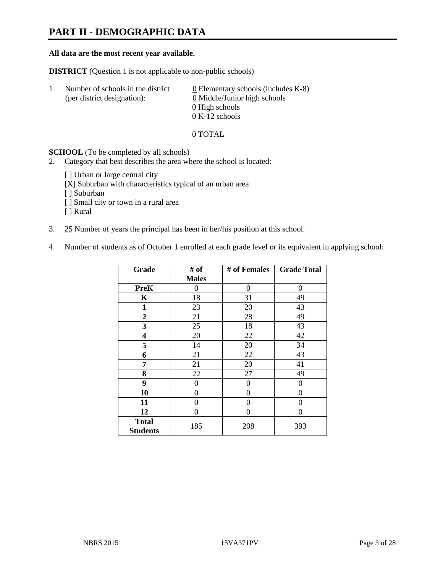# **PART II - DEMOGRAPHIC DATA**

#### **All data are the most recent year available.**

**DISTRICT** (Question 1 is not applicable to non-public schools)

| -1. | Number of schools in the district<br>(per district designation): | $\underline{0}$ Elementary schools (includes K-8)<br>0 Middle/Junior high schools |
|-----|------------------------------------------------------------------|-----------------------------------------------------------------------------------|
|     |                                                                  | 0 High schools                                                                    |
|     |                                                                  | $0 K-12$ schools                                                                  |

0 TOTAL

**SCHOOL** (To be completed by all schools)

- 2. Category that best describes the area where the school is located:
	- [ ] Urban or large central city
	- [X] Suburban with characteristics typical of an urban area
	- [ ] Suburban
	- [ ] Small city or town in a rural area
	- [ ] Rural
- 3. 25 Number of years the principal has been in her/his position at this school.
- 4. Number of students as of October 1 enrolled at each grade level or its equivalent in applying school:

| Grade                           | # of           | # of Females   | <b>Grade Total</b> |
|---------------------------------|----------------|----------------|--------------------|
|                                 | <b>Males</b>   |                |                    |
| PreK                            | 0              | $\theta$       | 0                  |
| K                               | 18             | 31             | 49                 |
| $\mathbf{1}$                    | 23             | 20             | 43                 |
| $\mathbf{2}$                    | 21             | 28             | 49                 |
| 3                               | 25             | 18             | 43                 |
| 4                               | 20             | 22             | 42                 |
| 5                               | 14             | 20             | 34                 |
| 6                               | 21             | 22             | 43                 |
| 7                               | 21             | 20             | 41                 |
| 8                               | 22             | 27             | 49                 |
| 9                               | $\overline{0}$ | $\overline{0}$ | 0                  |
| 10                              | 0              | 0              | 0                  |
| 11                              | 0              | 0              | 0                  |
| 12                              | 0              | 0              | 0                  |
| <b>Total</b><br><b>Students</b> | 185            | 208            | 393                |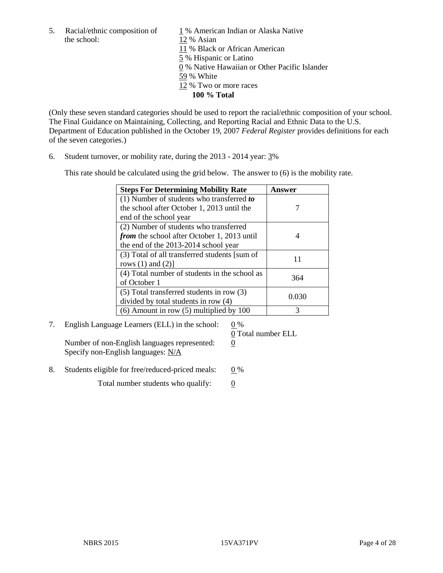the school: 12 % Asian

5. Racial/ethnic composition of  $1\%$  American Indian or Alaska Native 11 % Black or African American 5 % Hispanic or Latino 0 % Native Hawaiian or Other Pacific Islander 59 % White 12 % Two or more races **100 % Total**

(Only these seven standard categories should be used to report the racial/ethnic composition of your school. The Final Guidance on Maintaining, Collecting, and Reporting Racial and Ethnic Data to the U.S. Department of Education published in the October 19, 2007 *Federal Register* provides definitions for each of the seven categories.)

6. Student turnover, or mobility rate, during the 2013 - 2014 year: 3%

This rate should be calculated using the grid below. The answer to (6) is the mobility rate.

| <b>Steps For Determining Mobility Rate</b>         | Answer |
|----------------------------------------------------|--------|
| $(1)$ Number of students who transferred to        |        |
| the school after October 1, 2013 until the         |        |
| end of the school year                             |        |
| (2) Number of students who transferred             |        |
| <i>from</i> the school after October 1, 2013 until |        |
| the end of the 2013-2014 school year               |        |
| (3) Total of all transferred students [sum of      | 11     |
| rows $(1)$ and $(2)$ ]                             |        |
| (4) Total number of students in the school as      | 364    |
| of October 1                                       |        |
| $(5)$ Total transferred students in row $(3)$      | 0.030  |
| divided by total students in row (4)               |        |
| $(6)$ Amount in row $(5)$ multiplied by 100        | 3      |

7. English Language Learners (ELL) in the school:  $0\%$ 

Number of non-English languages represented: 0 Specify non-English languages: N/A

0 Total number ELL

8. Students eligible for free/reduced-priced meals:  $0\%$ 

Total number students who qualify:  $\qquad 0$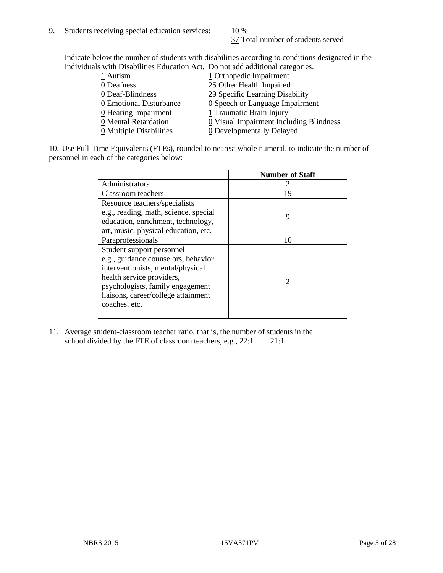37 Total number of students served

Indicate below the number of students with disabilities according to conditions designated in the Individuals with Disabilities Education Act. Do not add additional categories.

| 1 Autism                | 1 Orthopedic Impairment                       |
|-------------------------|-----------------------------------------------|
| 0 Deafness              | 25 Other Health Impaired                      |
| 0 Deaf-Blindness        | 29 Specific Learning Disability               |
| 0 Emotional Disturbance | $\underline{0}$ Speech or Language Impairment |
| 0 Hearing Impairment    | 1 Traumatic Brain Injury                      |
| 0 Mental Retardation    | 0 Visual Impairment Including Blindness       |
| 0 Multiple Disabilities | <b>0</b> Developmentally Delayed              |
|                         |                                               |

10. Use Full-Time Equivalents (FTEs), rounded to nearest whole numeral, to indicate the number of personnel in each of the categories below:

|                                       | <b>Number of Staff</b> |
|---------------------------------------|------------------------|
| Administrators                        |                        |
| Classroom teachers                    | 19                     |
| Resource teachers/specialists         |                        |
| e.g., reading, math, science, special | 9                      |
| education, enrichment, technology,    |                        |
| art, music, physical education, etc.  |                        |
| Paraprofessionals                     | 10                     |
| Student support personnel             |                        |
| e.g., guidance counselors, behavior   |                        |
| interventionists, mental/physical     |                        |
| health service providers,             |                        |
| psychologists, family engagement      |                        |
| liaisons, career/college attainment   |                        |
| coaches, etc.                         |                        |
|                                       |                        |

11. Average student-classroom teacher ratio, that is, the number of students in the school divided by the FTE of classroom teachers, e.g.,  $22:1$  21:1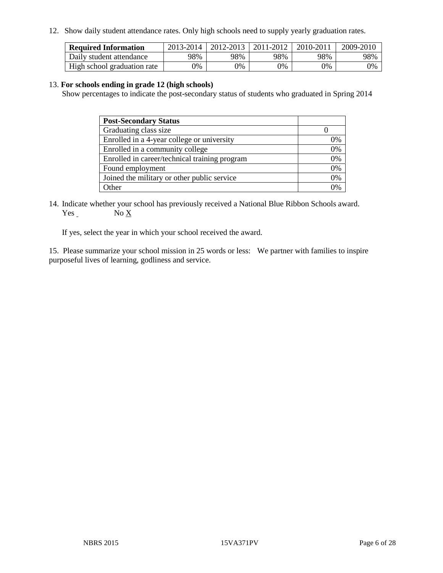12. Show daily student attendance rates. Only high schools need to supply yearly graduation rates.

| <b>Required Information</b> | 2013-2014 | 2012-2013 | 2011-2012 | 2010-2011 | 2009-2010 |
|-----------------------------|-----------|-----------|-----------|-----------|-----------|
| Daily student attendance    | 98%       | 98%       | 98%       | 98%       | 98%       |
| High school graduation rate | $9\%$     | 0%        | $0\%$     | 9%        | 0%        |

#### 13. **For schools ending in grade 12 (high schools)**

Show percentages to indicate the post-secondary status of students who graduated in Spring 2014

| <b>Post-Secondary Status</b>                  |    |
|-----------------------------------------------|----|
| Graduating class size                         |    |
| Enrolled in a 4-year college or university    | )% |
| Enrolled in a community college               | 0% |
| Enrolled in career/technical training program | 0% |
| Found employment                              | 0% |
| Joined the military or other public service   | 0% |
| Other                                         |    |

14. Indicate whether your school has previously received a National Blue Ribbon Schools award. Yes No X

If yes, select the year in which your school received the award.

15. Please summarize your school mission in 25 words or less: We partner with families to inspire purposeful lives of learning, godliness and service.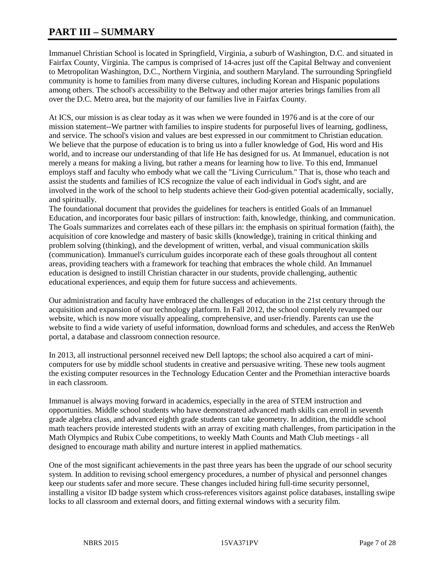# **PART III – SUMMARY**

Immanuel Christian School is located in Springfield, Virginia, a suburb of Washington, D.C. and situated in Fairfax County, Virginia. The campus is comprised of 14-acres just off the Capital Beltway and convenient to Metropolitan Washington, D.C., Northern Virginia, and southern Maryland. The surrounding Springfield community is home to families from many diverse cultures, including Korean and Hispanic populations among others. The school's accessibility to the Beltway and other major arteries brings families from all over the D.C. Metro area, but the majority of our families live in Fairfax County.

At ICS, our mission is as clear today as it was when we were founded in 1976 and is at the core of our mission statement--We partner with families to inspire students for purposeful lives of learning, godliness, and service. The school's vision and values are best expressed in our commitment to Christian education. We believe that the purpose of education is to bring us into a fuller knowledge of God, His word and His world, and to increase our understanding of that life He has designed for us. At Immanuel, education is not merely a means for making a living, but rather a means for learning how to live. To this end, Immanuel employs staff and faculty who embody what we call the "Living Curriculum." That is, those who teach and assist the students and families of ICS recognize the value of each individual in God's sight, and are involved in the work of the school to help students achieve their God-given potential academically, socially, and spiritually.

The foundational document that provides the guidelines for teachers is entitled Goals of an Immanuel Education, and incorporates four basic pillars of instruction: faith, knowledge, thinking, and communication. The Goals summarizes and correlates each of these pillars in: the emphasis on spiritual formation (faith), the acquisition of core knowledge and mastery of basic skills (knowledge), training in critical thinking and problem solving (thinking), and the development of written, verbal, and visual communication skills (communication). Immanuel's curriculum guides incorporate each of these goals throughout all content areas, providing teachers with a framework for teaching that embraces the whole child. An Immanuel education is designed to instill Christian character in our students, provide challenging, authentic educational experiences, and equip them for future success and achievements.

Our administration and faculty have embraced the challenges of education in the 21st century through the acquisition and expansion of our technology platform. In Fall 2012, the school completely revamped our website, which is now more visually appealing, comprehensive, and user-friendly. Parents can use the website to find a wide variety of useful information, download forms and schedules, and access the RenWeb portal, a database and classroom connection resource.

In 2013, all instructional personnel received new Dell laptops; the school also acquired a cart of minicomputers for use by middle school students in creative and persuasive writing. These new tools augment the existing computer resources in the Technology Education Center and the Promethian interactive boards in each classroom.

Immanuel is always moving forward in academics, especially in the area of STEM instruction and opportunities. Middle school students who have demonstrated advanced math skills can enroll in seventh grade algebra class, and advanced eighth grade students can take geometry. In addition, the middle school math teachers provide interested students with an array of exciting math challenges, from participation in the Math Olympics and Rubix Cube competitions, to weekly Math Counts and Math Club meetings - all designed to encourage math ability and nurture interest in applied mathematics.

One of the most significant achievements in the past three years has been the upgrade of our school security system. In addition to revising school emergency procedures, a number of physical and personnel changes keep our students safer and more secure. These changes included hiring full-time security personnel, installing a visitor ID badge system which cross-references visitors against police databases, installing swipe locks to all classroom and external doors, and fitting external windows with a security film.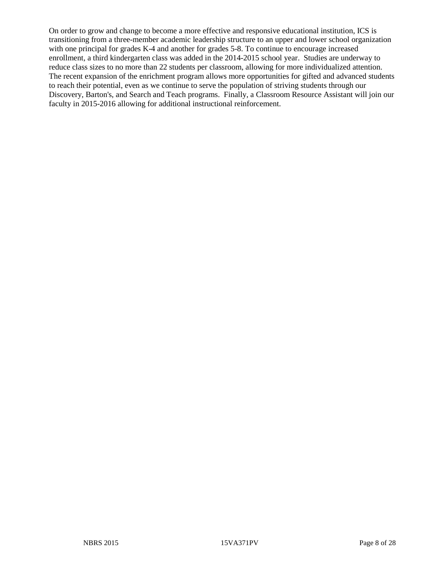On order to grow and change to become a more effective and responsive educational institution, ICS is transitioning from a three-member academic leadership structure to an upper and lower school organization with one principal for grades K-4 and another for grades 5-8. To continue to encourage increased enrollment, a third kindergarten class was added in the 2014-2015 school year. Studies are underway to reduce class sizes to no more than 22 students per classroom, allowing for more individualized attention. The recent expansion of the enrichment program allows more opportunities for gifted and advanced students to reach their potential, even as we continue to serve the population of striving students through our Discovery, Barton's, and Search and Teach programs. Finally, a Classroom Resource Assistant will join our faculty in 2015-2016 allowing for additional instructional reinforcement.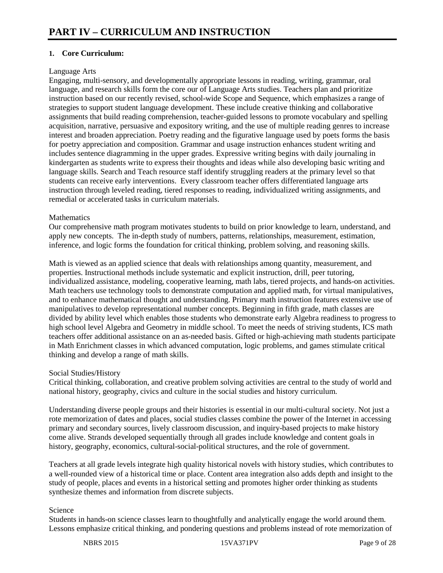# **1. Core Curriculum:**

#### Language Arts

Engaging, multi-sensory, and developmentally appropriate lessons in reading, writing, grammar, oral language, and research skills form the core our of Language Arts studies. Teachers plan and prioritize instruction based on our recently revised, school-wide Scope and Sequence, which emphasizes a range of strategies to support student language development. These include creative thinking and collaborative assignments that build reading comprehension, teacher-guided lessons to promote vocabulary and spelling acquisition, narrative, persuasive and expository writing, and the use of multiple reading genres to increase interest and broaden appreciation. Poetry reading and the figurative language used by poets forms the basis for poetry appreciation and composition. Grammar and usage instruction enhances student writing and includes sentence diagramming in the upper grades. Expressive writing begins with daily journaling in kindergarten as students write to express their thoughts and ideas while also developing basic writing and language skills. Search and Teach resource staff identify struggling readers at the primary level so that students can receive early interventions. Every classroom teacher offers differentiated language arts instruction through leveled reading, tiered responses to reading, individualized writing assignments, and remedial or accelerated tasks in curriculum materials.

#### **Mathematics**

Our comprehensive math program motivates students to build on prior knowledge to learn, understand, and apply new concepts. The in-depth study of numbers, patterns, relationships, measurement, estimation, inference, and logic forms the foundation for critical thinking, problem solving, and reasoning skills.

Math is viewed as an applied science that deals with relationships among quantity, measurement, and properties. Instructional methods include systematic and explicit instruction, drill, peer tutoring, individualized assistance, modeling, cooperative learning, math labs, tiered projects, and hands-on activities. Math teachers use technology tools to demonstrate computation and applied math, for virtual manipulatives, and to enhance mathematical thought and understanding. Primary math instruction features extensive use of manipulatives to develop representational number concepts. Beginning in fifth grade, math classes are divided by ability level which enables those students who demonstrate early Algebra readiness to progress to high school level Algebra and Geometry in middle school. To meet the needs of striving students, ICS math teachers offer additional assistance on an as-needed basis. Gifted or high-achieving math students participate in Math Enrichment classes in which advanced computation, logic problems, and games stimulate critical thinking and develop a range of math skills.

#### Social Studies/History

Critical thinking, collaboration, and creative problem solving activities are central to the study of world and national history, geography, civics and culture in the social studies and history curriculum.

Understanding diverse people groups and their histories is essential in our multi-cultural society. Not just a rote memorization of dates and places, social studies classes combine the power of the Internet in accessing primary and secondary sources, lively classroom discussion, and inquiry-based projects to make history come alive. Strands developed sequentially through all grades include knowledge and content goals in history, geography, economics, cultural-social-political structures, and the role of government.

Teachers at all grade levels integrate high quality historical novels with history studies, which contributes to a well-rounded view of a historical time or place. Content area integration also adds depth and insight to the study of people, places and events in a historical setting and promotes higher order thinking as students synthesize themes and information from discrete subjects.

#### Science

Students in hands-on science classes learn to thoughtfully and analytically engage the world around them. Lessons emphasize critical thinking, and pondering questions and problems instead of rote memorization of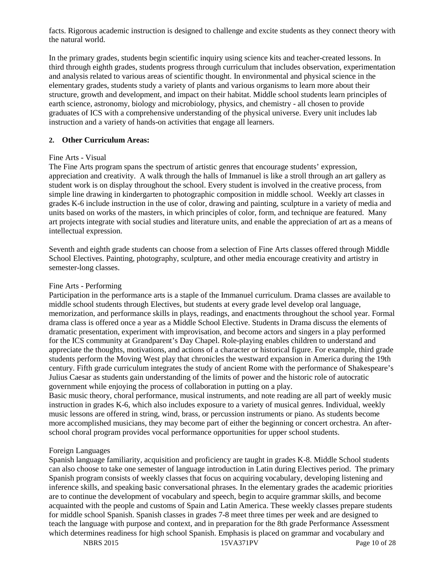facts. Rigorous academic instruction is designed to challenge and excite students as they connect theory with the natural world.

In the primary grades, students begin scientific inquiry using science kits and teacher-created lessons. In third through eighth grades, students progress through curriculum that includes observation, experimentation and analysis related to various areas of scientific thought. In environmental and physical science in the elementary grades, students study a variety of plants and various organisms to learn more about their structure, growth and development, and impact on their habitat. Middle school students learn principles of earth science, astronomy, biology and microbiology, physics, and chemistry - all chosen to provide graduates of ICS with a comprehensive understanding of the physical universe. Every unit includes lab instruction and a variety of hands-on activities that engage all learners.

#### **2. Other Curriculum Areas:**

#### Fine Arts - Visual

The Fine Arts program spans the spectrum of artistic genres that encourage students' expression, appreciation and creativity. A walk through the halls of Immanuel is like a stroll through an art gallery as student work is on display throughout the school. Every student is involved in the creative process, from simple line drawing in kindergarten to photographic composition in middle school. Weekly art classes in grades K-6 include instruction in the use of color, drawing and painting, sculpture in a variety of media and units based on works of the masters, in which principles of color, form, and technique are featured. Many art projects integrate with social studies and literature units, and enable the appreciation of art as a means of intellectual expression.

Seventh and eighth grade students can choose from a selection of Fine Arts classes offered through Middle School Electives. Painting, photography, sculpture, and other media encourage creativity and artistry in semester-long classes.

#### Fine Arts - Performing

Participation in the performance arts is a staple of the Immanuel curriculum. Drama classes are available to middle school students through Electives, but students at every grade level develop oral language, memorization, and performance skills in plays, readings, and enactments throughout the school year. Formal drama class is offered once a year as a Middle School Elective. Students in Drama discuss the elements of dramatic presentation, experiment with improvisation, and become actors and singers in a play performed for the ICS community at Grandparent's Day Chapel. Role-playing enables children to understand and appreciate the thoughts, motivations, and actions of a character or historical figure. For example, third grade students perform the Moving West play that chronicles the westward expansion in America during the 19th century. Fifth grade curriculum integrates the study of ancient Rome with the performance of Shakespeare's Julius Caesar as students gain understanding of the limits of power and the historic role of autocratic government while enjoying the process of collaboration in putting on a play.

Basic music theory, choral performance, musical instruments, and note reading are all part of weekly music instruction in grades K-6, which also includes exposure to a variety of musical genres. Individual, weekly music lessons are offered in string, wind, brass, or percussion instruments or piano. As students become more accomplished musicians, they may become part of either the beginning or concert orchestra. An afterschool choral program provides vocal performance opportunities for upper school students.

#### Foreign Languages

Spanish language familiarity, acquisition and proficiency are taught in grades K-8. Middle School students can also choose to take one semester of language introduction in Latin during Electives period. The primary Spanish program consists of weekly classes that focus on acquiring vocabulary, developing listening and inference skills, and speaking basic conversational phrases. In the elementary grades the academic priorities are to continue the development of vocabulary and speech, begin to acquire grammar skills, and become acquainted with the people and customs of Spain and Latin America. These weekly classes prepare students for middle school Spanish. Spanish classes in grades 7-8 meet three times per week and are designed to teach the language with purpose and context, and in preparation for the 8th grade Performance Assessment which determines readiness for high school Spanish. Emphasis is placed on grammar and vocabulary and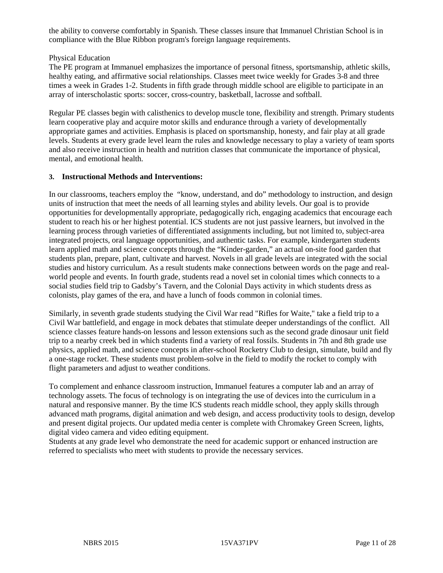the ability to converse comfortably in Spanish. These classes insure that Immanuel Christian School is in compliance with the Blue Ribbon program's foreign language requirements.

## Physical Education

The PE program at Immanuel emphasizes the importance of personal fitness, sportsmanship, athletic skills, healthy eating, and affirmative social relationships. Classes meet twice weekly for Grades 3-8 and three times a week in Grades 1-2. Students in fifth grade through middle school are eligible to participate in an array of interscholastic sports: soccer, cross-country, basketball, lacrosse and softball.

Regular PE classes begin with calisthenics to develop muscle tone, flexibility and strength. Primary students learn cooperative play and acquire motor skills and endurance through a variety of developmentally appropriate games and activities. Emphasis is placed on sportsmanship, honesty, and fair play at all grade levels. Students at every grade level learn the rules and knowledge necessary to play a variety of team sports and also receive instruction in health and nutrition classes that communicate the importance of physical, mental, and emotional health.

# **3. Instructional Methods and Interventions:**

In our classrooms, teachers employ the "know, understand, and do" methodology to instruction, and design units of instruction that meet the needs of all learning styles and ability levels. Our goal is to provide opportunities for developmentally appropriate, pedagogically rich, engaging academics that encourage each student to reach his or her highest potential. ICS students are not just passive learners, but involved in the learning process through varieties of differentiated assignments including, but not limited to, subject-area integrated projects, oral language opportunities, and authentic tasks. For example, kindergarten students learn applied math and science concepts through the "Kinder-garden," an actual on-site food garden that students plan, prepare, plant, cultivate and harvest. Novels in all grade levels are integrated with the social studies and history curriculum. As a result students make connections between words on the page and realworld people and events. In fourth grade, students read a novel set in colonial times which connects to a social studies field trip to Gadsby's Tavern, and the Colonial Days activity in which students dress as colonists, play games of the era, and have a lunch of foods common in colonial times.

Similarly, in seventh grade students studying the Civil War read "Rifles for Waite," take a field trip to a Civil War battlefield, and engage in mock debates that stimulate deeper understandings of the conflict. All science classes feature hands-on lessons and lesson extensions such as the second grade dinosaur unit field trip to a nearby creek bed in which students find a variety of real fossils. Students in 7th and 8th grade use physics, applied math, and science concepts in after-school Rocketry Club to design, simulate, build and fly a one-stage rocket. These students must problem-solve in the field to modify the rocket to comply with flight parameters and adjust to weather conditions.

To complement and enhance classroom instruction, Immanuel features a computer lab and an array of technology assets. The focus of technology is on integrating the use of devices into the curriculum in a natural and responsive manner. By the time ICS students reach middle school, they apply skills through advanced math programs, digital animation and web design, and access productivity tools to design, develop and present digital projects. Our updated media center is complete with Chromakey Green Screen, lights, digital video camera and video editing equipment.

Students at any grade level who demonstrate the need for academic support or enhanced instruction are referred to specialists who meet with students to provide the necessary services.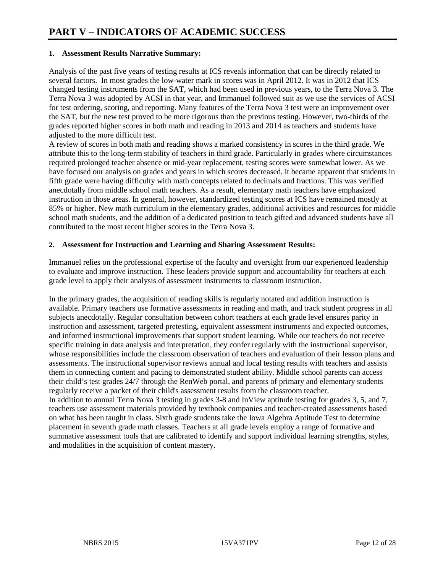## **1. Assessment Results Narrative Summary:**

Analysis of the past five years of testing results at ICS reveals information that can be directly related to several factors. In most grades the low-water mark in scores was in April 2012. It was in 2012 that ICS changed testing instruments from the SAT, which had been used in previous years, to the Terra Nova 3. The Terra Nova 3 was adopted by ACSI in that year, and Immanuel followed suit as we use the services of ACSI for test ordering, scoring, and reporting. Many features of the Terra Nova 3 test were an improvement over the SAT, but the new test proved to be more rigorous than the previous testing. However, two-thirds of the grades reported higher scores in both math and reading in 2013 and 2014 as teachers and students have adjusted to the more difficult test.

A review of scores in both math and reading shows a marked consistency in scores in the third grade. We attribute this to the long-term stability of teachers in third grade. Particularly in grades where circumstances required prolonged teacher absence or mid-year replacement, testing scores were somewhat lower. As we have focused our analysis on grades and years in which scores decreased, it became apparent that students in fifth grade were having difficulty with math concepts related to decimals and fractions. This was verified anecdotally from middle school math teachers. As a result, elementary math teachers have emphasized instruction in those areas. In general, however, standardized testing scores at ICS have remained mostly at 85% or higher. New math curriculum in the elementary grades, additional activities and resources for middle school math students, and the addition of a dedicated position to teach gifted and advanced students have all contributed to the most recent higher scores in the Terra Nova 3.

# **2. Assessment for Instruction and Learning and Sharing Assessment Results:**

Immanuel relies on the professional expertise of the faculty and oversight from our experienced leadership to evaluate and improve instruction. These leaders provide support and accountability for teachers at each grade level to apply their analysis of assessment instruments to classroom instruction.

In the primary grades, the acquisition of reading skills is regularly notated and addition instruction is available. Primary teachers use formative assessments in reading and math, and track student progress in all subjects anecdotally. Regular consultation between cohort teachers at each grade level ensures parity in instruction and assessment, targeted pretesting, equivalent assessment instruments and expected outcomes, and informed instructional improvements that support student learning. While our teachers do not receive specific training in data analysis and interpretation, they confer regularly with the instructional supervisor, whose responsibilities include the classroom observation of teachers and evaluation of their lesson plans and assessments. The instructional supervisor reviews annual and local testing results with teachers and assists them in connecting content and pacing to demonstrated student ability. Middle school parents can access their child's test grades 24/7 through the RenWeb portal, and parents of primary and elementary students regularly receive a packet of their child's assessment results from the classroom teacher. In addition to annual Terra Nova 3 testing in grades 3-8 and InView aptitude testing for grades 3, 5, and 7, teachers use assessment materials provided by textbook companies and teacher-created assessments based on what has been taught in class. Sixth grade students take the Iowa Algebra Aptitude Test to determine placement in seventh grade math classes. Teachers at all grade levels employ a range of formative and summative assessment tools that are calibrated to identify and support individual learning strengths, styles, and modalities in the acquisition of content mastery.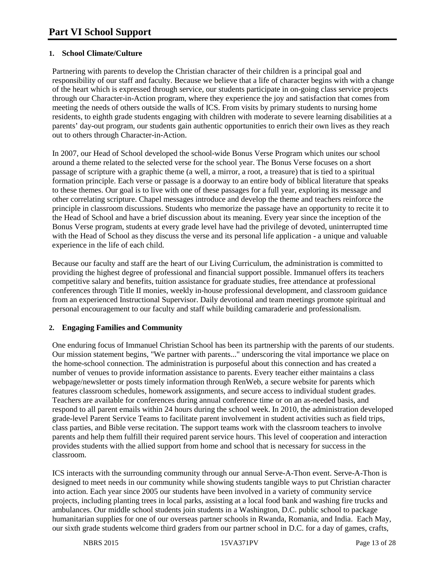# **1. School Climate/Culture**

Partnering with parents to develop the Christian character of their children is a principal goal and responsibility of our staff and faculty. Because we believe that a life of character begins with with a change of the heart which is expressed through service, our students participate in on-going class service projects through our Character-in-Action program, where they experience the joy and satisfaction that comes from meeting the needs of others outside the walls of ICS. From visits by primary students to nursing home residents, to eighth grade students engaging with children with moderate to severe learning disabilities at a parents' day-out program, our students gain authentic opportunities to enrich their own lives as they reach out to others through Character-in-Action.

In 2007, our Head of School developed the school-wide Bonus Verse Program which unites our school around a theme related to the selected verse for the school year. The Bonus Verse focuses on a short passage of scripture with a graphic theme (a well, a mirror, a root, a treasure) that is tied to a spiritual formation principle. Each verse or passage is a doorway to an entire body of biblical literature that speaks to these themes. Our goal is to live with one of these passages for a full year, exploring its message and other correlating scripture. Chapel messages introduce and develop the theme and teachers reinforce the principle in classroom discussions. Students who memorize the passage have an opportunity to recite it to the Head of School and have a brief discussion about its meaning. Every year since the inception of the Bonus Verse program, students at every grade level have had the privilege of devoted, uninterrupted time with the Head of School as they discuss the verse and its personal life application - a unique and valuable experience in the life of each child.

Because our faculty and staff are the heart of our Living Curriculum, the administration is committed to providing the highest degree of professional and financial support possible. Immanuel offers its teachers competitive salary and benefits, tuition assistance for graduate studies, free attendance at professional conferences through Title II monies, weekly in-house professional development, and classroom guidance from an experienced Instructional Supervisor. Daily devotional and team meetings promote spiritual and personal encouragement to our faculty and staff while building camaraderie and professionalism.

#### **2. Engaging Families and Community**

One enduring focus of Immanuel Christian School has been its partnership with the parents of our students. Our mission statement begins, "We partner with parents..." underscoring the vital importance we place on the home-school connection. The administration is purposeful about this connection and has created a number of venues to provide information assistance to parents. Every teacher either maintains a class webpage/newsletter or posts timely information through RenWeb, a secure website for parents which features classroom schedules, homework assignments, and secure access to individual student grades. Teachers are available for conferences during annual conference time or on an as-needed basis, and respond to all parent emails within 24 hours during the school week. In 2010, the administration developed grade-level Parent Service Teams to facilitate parent involvement in student activities such as field trips, class parties, and Bible verse recitation. The support teams work with the classroom teachers to involve parents and help them fulfill their required parent service hours. This level of cooperation and interaction provides students with the allied support from home and school that is necessary for success in the classroom.

ICS interacts with the surrounding community through our annual Serve-A-Thon event. Serve-A-Thon is designed to meet needs in our community while showing students tangible ways to put Christian character into action. Each year since 2005 our students have been involved in a variety of community service projects, including planting trees in local parks, assisting at a local food bank and washing fire trucks and ambulances. Our middle school students join students in a Washington, D.C. public school to package humanitarian supplies for one of our overseas partner schools in Rwanda, Romania, and India. Each May, our sixth grade students welcome third graders from our partner school in D.C. for a day of games, crafts,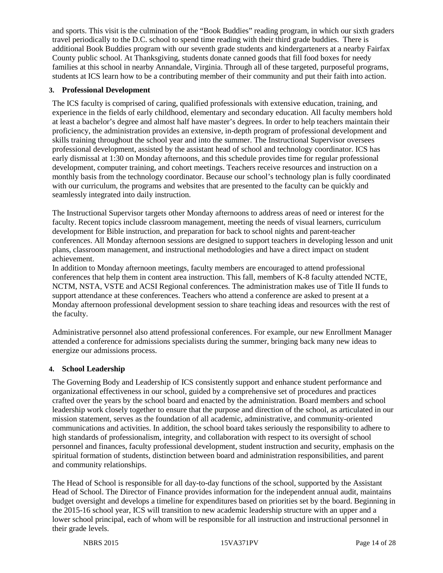and sports. This visit is the culmination of the "Book Buddies" reading program, in which our sixth graders travel periodically to the D.C. school to spend time reading with their third grade buddies. There is additional Book Buddies program with our seventh grade students and kindergarteners at a nearby Fairfax County public school. At Thanksgiving, students donate canned goods that fill food boxes for needy families at this school in nearby Annandale, Virginia. Through all of these targeted, purposeful programs, students at ICS learn how to be a contributing member of their community and put their faith into action.

#### **3. Professional Development**

The ICS faculty is comprised of caring, qualified professionals with extensive education, training, and experience in the fields of early childhood, elementary and secondary education. All faculty members hold at least a bachelor's degree and almost half have master's degrees. In order to help teachers maintain their proficiency, the administration provides an extensive, in-depth program of professional development and skills training throughout the school year and into the summer. The Instructional Supervisor oversees professional development, assisted by the assistant head of school and technology coordinator. ICS has early dismissal at 1:30 on Monday afternoons, and this schedule provides time for regular professional development, computer training, and cohort meetings. Teachers receive resources and instruction on a monthly basis from the technology coordinator. Because our school's technology plan is fully coordinated with our curriculum, the programs and websites that are presented to the faculty can be quickly and seamlessly integrated into daily instruction.

The Instructional Supervisor targets other Monday afternoons to address areas of need or interest for the faculty. Recent topics include classroom management, meeting the needs of visual learners, curriculum development for Bible instruction, and preparation for back to school nights and parent-teacher conferences. All Monday afternoon sessions are designed to support teachers in developing lesson and unit plans, classroom management, and instructional methodologies and have a direct impact on student achievement.

In addition to Monday afternoon meetings, faculty members are encouraged to attend professional conferences that help them in content area instruction. This fall, members of K-8 faculty attended NCTE, NCTM, NSTA, VSTE and ACSI Regional conferences. The administration makes use of Title II funds to support attendance at these conferences. Teachers who attend a conference are asked to present at a Monday afternoon professional development session to share teaching ideas and resources with the rest of the faculty.

Administrative personnel also attend professional conferences. For example, our new Enrollment Manager attended a conference for admissions specialists during the summer, bringing back many new ideas to energize our admissions process.

#### **4. School Leadership**

The Governing Body and Leadership of ICS consistently support and enhance student performance and organizational effectiveness in our school, guided by a comprehensive set of procedures and practices crafted over the years by the school board and enacted by the administration. Board members and school leadership work closely together to ensure that the purpose and direction of the school, as articulated in our mission statement, serves as the foundation of all academic, administrative, and community-oriented communications and activities. In addition, the school board takes seriously the responsibility to adhere to high standards of professionalism, integrity, and collaboration with respect to its oversight of school personnel and finances, faculty professional development, student instruction and security, emphasis on the spiritual formation of students, distinction between board and administration responsibilities, and parent and community relationships.

The Head of School is responsible for all day-to-day functions of the school, supported by the Assistant Head of School. The Director of Finance provides information for the independent annual audit, maintains budget oversight and develops a timeline for expenditures based on priorities set by the board. Beginning in the 2015-16 school year, ICS will transition to new academic leadership structure with an upper and a lower school principal, each of whom will be responsible for all instruction and instructional personnel in their grade levels.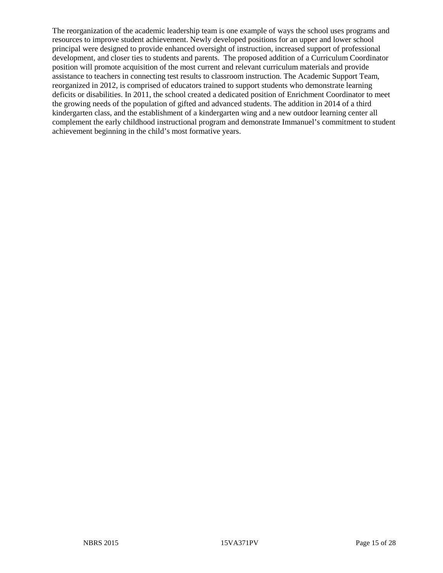The reorganization of the academic leadership team is one example of ways the school uses programs and resources to improve student achievement. Newly developed positions for an upper and lower school principal were designed to provide enhanced oversight of instruction, increased support of professional development, and closer ties to students and parents. The proposed addition of a Curriculum Coordinator position will promote acquisition of the most current and relevant curriculum materials and provide assistance to teachers in connecting test results to classroom instruction. The Academic Support Team, reorganized in 2012, is comprised of educators trained to support students who demonstrate learning deficits or disabilities. In 2011, the school created a dedicated position of Enrichment Coordinator to meet the growing needs of the population of gifted and advanced students. The addition in 2014 of a third kindergarten class, and the establishment of a kindergarten wing and a new outdoor learning center all complement the early childhood instructional program and demonstrate Immanuel's commitment to student achievement beginning in the child's most formative years.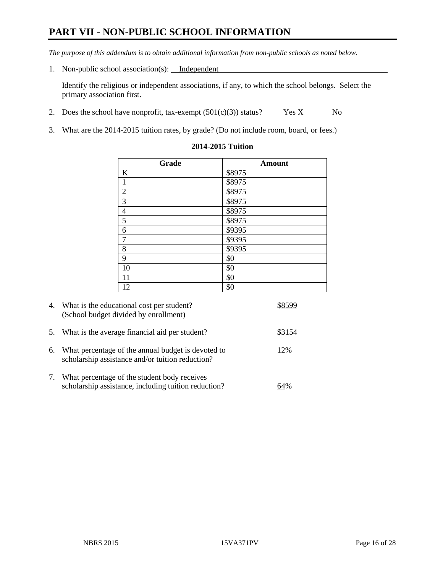# **PART VII - NON-PUBLIC SCHOOL INFORMATION**

*The purpose of this addendum is to obtain additional information from non-public schools as noted below.*

1. Non-public school association(s): Independent

Identify the religious or independent associations, if any, to which the school belongs. Select the primary association first.

- 2. Does the school have nonprofit, tax-exempt  $(501(c)(3))$  status? Yes  $\underline{X}$  No
- 3. What are the 2014-2015 tuition rates, by grade? (Do not include room, board, or fees.)

| Grade                    | <b>Amount</b> |  |  |
|--------------------------|---------------|--|--|
| K                        | \$8975        |  |  |
| $\mathbf{1}$             | \$8975        |  |  |
| $\overline{2}$           | \$8975        |  |  |
| $\overline{3}$           | \$8975        |  |  |
| $\overline{\mathcal{L}}$ | \$8975        |  |  |
| $\overline{5}$           | \$8975        |  |  |
| 6                        | \$9395        |  |  |
| $\overline{7}$           | \$9395        |  |  |
| 8                        | \$9395        |  |  |
| 9                        | \$0           |  |  |
| 10                       | \$0           |  |  |
| 11                       | \$0           |  |  |
| 12                       | \$0           |  |  |

#### **2014-2015 Tuition**

|    | 4. What is the educational cost per student?<br>(School budget divided by enrollment)                  |        |
|----|--------------------------------------------------------------------------------------------------------|--------|
| 5. | What is the average financial aid per student?                                                         | \$3154 |
| 6. | What percentage of the annual budget is devoted to<br>scholarship assistance and/or tuition reduction? | 12%    |
| 7. | What percentage of the student body receives<br>scholarship assistance, including tuition reduction?   |        |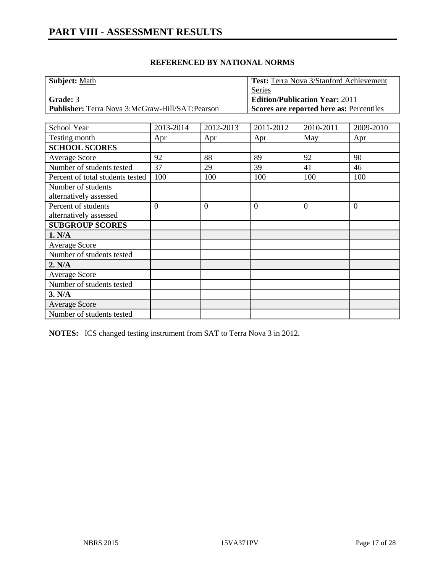| <b>Subject: Math</b>                                    | <b>Test:</b> Terra Nova 3/Stanford Achievement |
|---------------------------------------------------------|------------------------------------------------|
|                                                         | Series                                         |
| <b>Grade:</b> 3                                         | <b>Edition/Publication Year: 2011</b>          |
| <b>Publisher:</b> Terra Nova 3:McGraw-Hill/SAT: Pearson | Scores are reported here as: Percentiles       |

| School Year                                   | 2013-2014      | 2012-2013      | 2011-2012      | 2010-2011      | 2009-2010      |
|-----------------------------------------------|----------------|----------------|----------------|----------------|----------------|
| Testing month                                 | Apr            | Apr            | Apr            | May            | Apr            |
| <b>SCHOOL SCORES</b>                          |                |                |                |                |                |
| Average Score                                 | 92             | 88             | 89             | 92             | 90             |
| Number of students tested                     | 37             | 29             | 39             | 41             | 46             |
| Percent of total students tested              | 100            | 100            | 100            | 100            | 100            |
| Number of students<br>alternatively assessed  |                |                |                |                |                |
| Percent of students<br>alternatively assessed | $\overline{0}$ | $\overline{0}$ | $\overline{0}$ | $\overline{0}$ | $\overline{0}$ |
| <b>SUBGROUP SCORES</b>                        |                |                |                |                |                |
| 1. N/A                                        |                |                |                |                |                |
| Average Score                                 |                |                |                |                |                |
| Number of students tested                     |                |                |                |                |                |
| 2. N/A                                        |                |                |                |                |                |
| Average Score                                 |                |                |                |                |                |
| Number of students tested                     |                |                |                |                |                |
| 3. N/A                                        |                |                |                |                |                |
| <b>Average Score</b>                          |                |                |                |                |                |
| Number of students tested                     |                |                |                |                |                |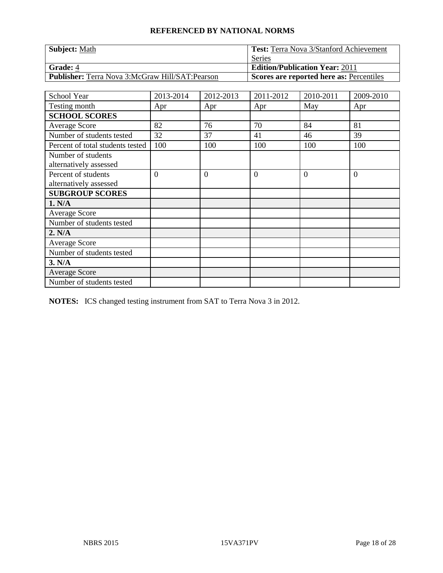| <b>Subject: Math</b>                                   | <b>Test:</b> Terra Nova 3/Stanford Achievement  |
|--------------------------------------------------------|-------------------------------------------------|
|                                                        | Series                                          |
| <b>Grade: 4</b>                                        | <b>Edition/Publication Year: 2011</b>           |
| <b>Publisher:</b> Terra Nova 3:McGraw Hill/SAT:Pearson | <b>Scores are reported here as: Percentiles</b> |

| School Year                                   | 2013-2014 | 2012-2013      | 2011-2012      | 2010-2011 | 2009-2010 |
|-----------------------------------------------|-----------|----------------|----------------|-----------|-----------|
| Testing month                                 | Apr       | Apr            | Apr            | May       | Apr       |
| <b>SCHOOL SCORES</b>                          |           |                |                |           |           |
| Average Score                                 | 82        | 76             | 70             | 84        | 81        |
| Number of students tested                     | 32        | 37             | 41             | 46        | 39        |
| Percent of total students tested              | 100       | 100            | 100            | 100       | 100       |
| Number of students<br>alternatively assessed  |           |                |                |           |           |
| Percent of students<br>alternatively assessed | $\theta$  | $\overline{0}$ | $\overline{0}$ | $\Omega$  | $\theta$  |
| <b>SUBGROUP SCORES</b>                        |           |                |                |           |           |
| 1. N/A                                        |           |                |                |           |           |
| Average Score                                 |           |                |                |           |           |
| Number of students tested                     |           |                |                |           |           |
| 2. N/A                                        |           |                |                |           |           |
| <b>Average Score</b>                          |           |                |                |           |           |
| Number of students tested                     |           |                |                |           |           |
| 3. N/A                                        |           |                |                |           |           |
| <b>Average Score</b>                          |           |                |                |           |           |
| Number of students tested                     |           |                |                |           |           |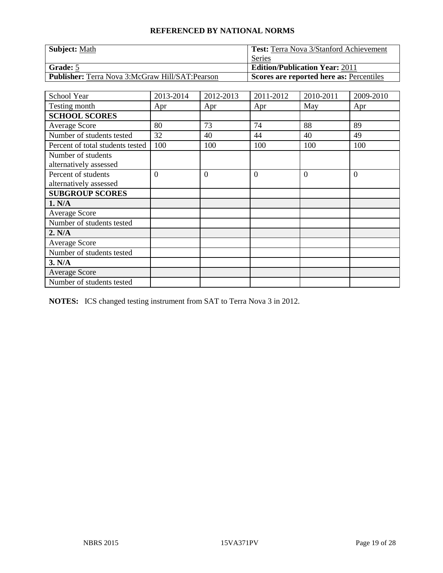| <b>Subject: Math</b>                                   | <b>Test:</b> Terra Nova 3/Stanford Achievement  |
|--------------------------------------------------------|-------------------------------------------------|
|                                                        | Series                                          |
| <b>Grade:</b> 5                                        | <b>Edition/Publication Year: 2011</b>           |
| <b>Publisher:</b> Terra Nova 3:McGraw Hill/SAT:Pearson | <b>Scores are reported here as: Percentiles</b> |

| School Year                                   | 2013-2014 | 2012-2013      | 2011-2012      | 2010-2011 | 2009-2010 |
|-----------------------------------------------|-----------|----------------|----------------|-----------|-----------|
| Testing month                                 | Apr       | Apr            | Apr            | May       | Apr       |
| <b>SCHOOL SCORES</b>                          |           |                |                |           |           |
| <b>Average Score</b>                          | 80        | 73             | 74             | 88        | 89        |
| Number of students tested                     | 32        | 40             | 44             | 40        | 49        |
| Percent of total students tested              | 100       | 100            | 100            | 100       | 100       |
| Number of students<br>alternatively assessed  |           |                |                |           |           |
| Percent of students<br>alternatively assessed | $\theta$  | $\overline{0}$ | $\overline{0}$ | $\Omega$  | $\theta$  |
| <b>SUBGROUP SCORES</b>                        |           |                |                |           |           |
| 1. N/A                                        |           |                |                |           |           |
| <b>Average Score</b>                          |           |                |                |           |           |
| Number of students tested                     |           |                |                |           |           |
| 2. N/A                                        |           |                |                |           |           |
| <b>Average Score</b>                          |           |                |                |           |           |
| Number of students tested                     |           |                |                |           |           |
| 3. N/A                                        |           |                |                |           |           |
| <b>Average Score</b>                          |           |                |                |           |           |
| Number of students tested                     |           |                |                |           |           |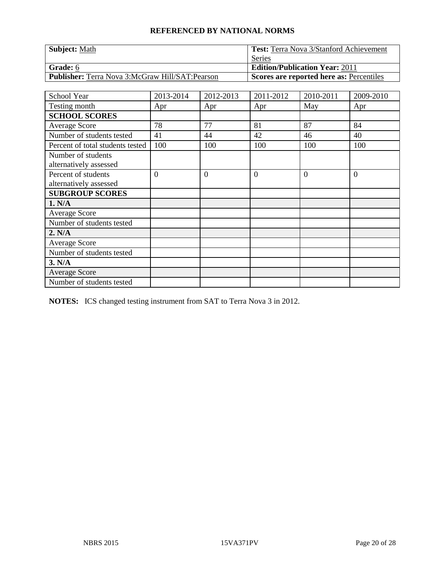| <b>Subject: Math</b>                                   | <b>Test:</b> Terra Nova 3/Stanford Achievement  |
|--------------------------------------------------------|-------------------------------------------------|
|                                                        | Series                                          |
| <b>Grade:</b> 6                                        | <b>Edition/Publication Year: 2011</b>           |
| <b>Publisher:</b> Terra Nova 3:McGraw Hill/SAT:Pearson | <b>Scores are reported here as: Percentiles</b> |

| School Year                                   | 2013-2014      | 2012-2013      | 2011-2012 | 2010-2011 | 2009-2010 |
|-----------------------------------------------|----------------|----------------|-----------|-----------|-----------|
| Testing month                                 | Apr            | Apr            | Apr       | May       | Apr       |
| <b>SCHOOL SCORES</b>                          |                |                |           |           |           |
| <b>Average Score</b>                          | 78             | 77             | 81        | 87        | 84        |
| Number of students tested                     | 41             | 44             | 42        | 46        | 40        |
| Percent of total students tested              | 100            | 100            | 100       | 100       | 100       |
| Number of students<br>alternatively assessed  |                |                |           |           |           |
| Percent of students<br>alternatively assessed | $\overline{0}$ | $\overline{0}$ | $\theta$  | $\Omega$  | $\theta$  |
| <b>SUBGROUP SCORES</b>                        |                |                |           |           |           |
| 1. N/A                                        |                |                |           |           |           |
| Average Score                                 |                |                |           |           |           |
| Number of students tested                     |                |                |           |           |           |
| 2. N/A                                        |                |                |           |           |           |
| <b>Average Score</b>                          |                |                |           |           |           |
| Number of students tested                     |                |                |           |           |           |
| 3. N/A                                        |                |                |           |           |           |
| <b>Average Score</b>                          |                |                |           |           |           |
| Number of students tested                     |                |                |           |           |           |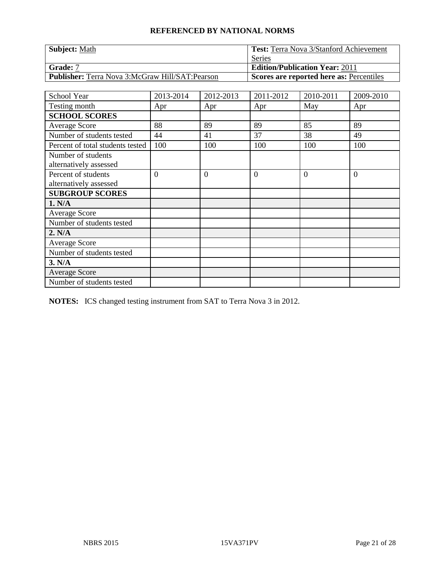| <b>Subject: Math</b>                                   | <b>Test:</b> Terra Nova 3/Stanford Achievement  |
|--------------------------------------------------------|-------------------------------------------------|
|                                                        | Series                                          |
| Grade: 7                                               | <b>Edition/Publication Year: 2011</b>           |
| <b>Publisher:</b> Terra Nova 3:McGraw Hill/SAT:Pearson | <b>Scores are reported here as: Percentiles</b> |

| School Year                                   | 2013-2014 | 2012-2013      | 2011-2012      | 2010-2011 | 2009-2010 |
|-----------------------------------------------|-----------|----------------|----------------|-----------|-----------|
| Testing month                                 | Apr       | Apr            | Apr            | May       | Apr       |
| <b>SCHOOL SCORES</b>                          |           |                |                |           |           |
| <b>Average Score</b>                          | 88        | 89             | 89             | 85        | 89        |
| Number of students tested                     | 44        | 41             | 37             | 38        | 49        |
| Percent of total students tested              | 100       | 100            | 100            | 100       | 100       |
| Number of students<br>alternatively assessed  |           |                |                |           |           |
| Percent of students<br>alternatively assessed | $\theta$  | $\overline{0}$ | $\overline{0}$ | $\Omega$  | $\theta$  |
| <b>SUBGROUP SCORES</b>                        |           |                |                |           |           |
| 1. N/A                                        |           |                |                |           |           |
| <b>Average Score</b>                          |           |                |                |           |           |
| Number of students tested                     |           |                |                |           |           |
| 2. N/A                                        |           |                |                |           |           |
| <b>Average Score</b>                          |           |                |                |           |           |
| Number of students tested                     |           |                |                |           |           |
| 3. N/A                                        |           |                |                |           |           |
| <b>Average Score</b>                          |           |                |                |           |           |
| Number of students tested                     |           |                |                |           |           |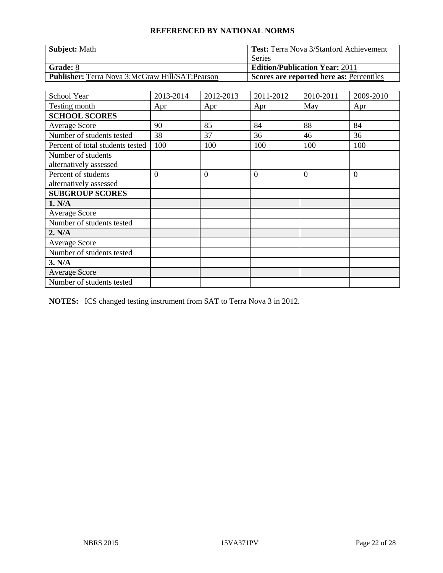| <b>Subject: Math</b>                                   | Test: Terra Nova 3/Stanford Achievement  |  |  |
|--------------------------------------------------------|------------------------------------------|--|--|
|                                                        | Series                                   |  |  |
| Grade: 8                                               | <b>Edition/Publication Year: 2011</b>    |  |  |
| <b>Publisher:</b> Terra Nova 3:McGraw Hill/SAT:Pearson | Scores are reported here as: Percentiles |  |  |

| School Year                                   | 2013-2014 | 2012-2013      | 2011-2012      | 2010-2011 | 2009-2010 |
|-----------------------------------------------|-----------|----------------|----------------|-----------|-----------|
| Testing month                                 | Apr       | Apr            | Apr            | May       | Apr       |
| <b>SCHOOL SCORES</b>                          |           |                |                |           |           |
| <b>Average Score</b>                          | 90        | 85             | 84             | 88        | 84        |
| Number of students tested                     | 38        | 37             | 36             | 46        | 36        |
| Percent of total students tested              | 100       | 100            | 100            | 100       | 100       |
| Number of students<br>alternatively assessed  |           |                |                |           |           |
| Percent of students<br>alternatively assessed | $\theta$  | $\overline{0}$ | $\overline{0}$ | $\Omega$  | $\theta$  |
| <b>SUBGROUP SCORES</b>                        |           |                |                |           |           |
| 1. N/A                                        |           |                |                |           |           |
| <b>Average Score</b>                          |           |                |                |           |           |
| Number of students tested                     |           |                |                |           |           |
| 2. N/A                                        |           |                |                |           |           |
| <b>Average Score</b>                          |           |                |                |           |           |
| Number of students tested                     |           |                |                |           |           |
| 3. N/A                                        |           |                |                |           |           |
| <b>Average Score</b>                          |           |                |                |           |           |
| Number of students tested                     |           |                |                |           |           |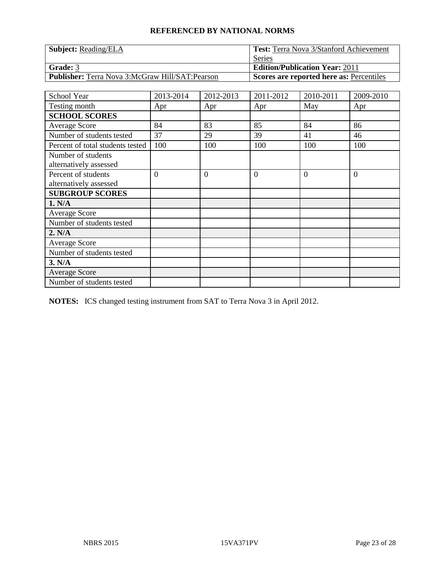| <b>Subject:</b> Reading/ELA                            | <b>Test:</b> Terra Nova 3/Stanford Achievement |  |  |
|--------------------------------------------------------|------------------------------------------------|--|--|
|                                                        | Series                                         |  |  |
| Grade: 3                                               | <b>Edition/Publication Year: 2011</b>          |  |  |
| <b>Publisher:</b> Terra Nova 3:McGraw Hill/SAT:Pearson | Scores are reported here as: Percentiles       |  |  |

| School Year                                   | 2013-2014 | 2012-2013      | 2011-2012      | 2010-2011 | 2009-2010 |
|-----------------------------------------------|-----------|----------------|----------------|-----------|-----------|
| Testing month                                 | Apr       | Apr            | Apr            | May       | Apr       |
| <b>SCHOOL SCORES</b>                          |           |                |                |           |           |
| <b>Average Score</b>                          | 84        | 83             | 85             | 84        | 86        |
| Number of students tested                     | 37        | 29             | 39             | 41        | 46        |
| Percent of total students tested              | 100       | 100            | 100            | 100       | 100       |
| Number of students<br>alternatively assessed  |           |                |                |           |           |
| Percent of students<br>alternatively assessed | $\theta$  | $\overline{0}$ | $\overline{0}$ | $\Omega$  | $\theta$  |
| <b>SUBGROUP SCORES</b>                        |           |                |                |           |           |
| 1. N/A                                        |           |                |                |           |           |
| <b>Average Score</b>                          |           |                |                |           |           |
| Number of students tested                     |           |                |                |           |           |
| 2. N/A                                        |           |                |                |           |           |
| <b>Average Score</b>                          |           |                |                |           |           |
| Number of students tested                     |           |                |                |           |           |
| 3. N/A                                        |           |                |                |           |           |
| <b>Average Score</b>                          |           |                |                |           |           |
| Number of students tested                     |           |                |                |           |           |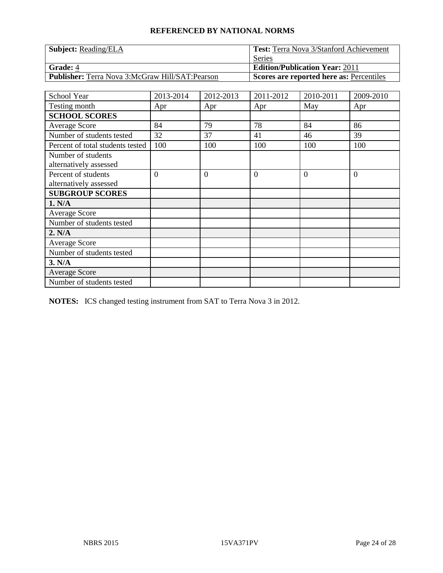| <b>Subject:</b> Reading/ELA                            | <b>Test:</b> Terra Nova 3/Stanford Achievement |  |  |
|--------------------------------------------------------|------------------------------------------------|--|--|
|                                                        | Series                                         |  |  |
| <b>Grade: 4</b>                                        | <b>Edition/Publication Year: 2011</b>          |  |  |
| <b>Publisher:</b> Terra Nova 3:McGraw Hill/SAT:Pearson | Scores are reported here as: Percentiles       |  |  |

| School Year                                   | 2013-2014 | 2012-2013      | 2011-2012      | 2010-2011 | 2009-2010 |
|-----------------------------------------------|-----------|----------------|----------------|-----------|-----------|
| Testing month                                 | Apr       | Apr            | Apr            | May       | Apr       |
| <b>SCHOOL SCORES</b>                          |           |                |                |           |           |
| <b>Average Score</b>                          | 84        | 79             | 78             | 84        | 86        |
| Number of students tested                     | 32        | 37             | 41             | 46        | 39        |
| Percent of total students tested              | 100       | 100            | 100            | 100       | 100       |
| Number of students<br>alternatively assessed  |           |                |                |           |           |
| Percent of students<br>alternatively assessed | $\theta$  | $\overline{0}$ | $\overline{0}$ | $\Omega$  | $\theta$  |
| <b>SUBGROUP SCORES</b>                        |           |                |                |           |           |
| 1. N/A                                        |           |                |                |           |           |
| <b>Average Score</b>                          |           |                |                |           |           |
| Number of students tested                     |           |                |                |           |           |
| 2. N/A                                        |           |                |                |           |           |
| <b>Average Score</b>                          |           |                |                |           |           |
| Number of students tested                     |           |                |                |           |           |
| 3. N/A                                        |           |                |                |           |           |
| <b>Average Score</b>                          |           |                |                |           |           |
| Number of students tested                     |           |                |                |           |           |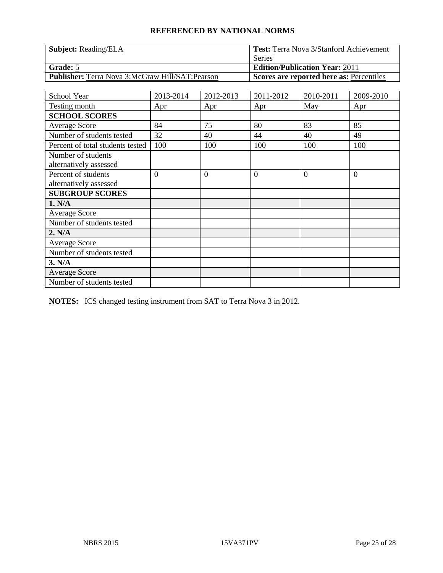| <b>Subject:</b> Reading/ELA                            | <b>Test:</b> Terra Nova 3/Stanford Achievement |  |  |
|--------------------------------------------------------|------------------------------------------------|--|--|
|                                                        | Series                                         |  |  |
| Grade: 5                                               | <b>Edition/Publication Year: 2011</b>          |  |  |
| <b>Publisher:</b> Terra Nova 3:McGraw Hill/SAT:Pearson | Scores are reported here as: Percentiles       |  |  |

| School Year                      | 2013-2014      | 2012-2013      | 2011-2012      | 2010-2011 | 2009-2010 |
|----------------------------------|----------------|----------------|----------------|-----------|-----------|
| Testing month                    | Apr            | Apr            | Apr            | May       | Apr       |
| <b>SCHOOL SCORES</b>             |                |                |                |           |           |
| <b>Average Score</b>             | 84             | 75             | 80             | 83        | 85        |
| Number of students tested        | 32             | 40             | 44             | 40        | 49        |
| Percent of total students tested | 100            | 100            | 100            | 100       | 100       |
| Number of students               |                |                |                |           |           |
| alternatively assessed           |                |                |                |           |           |
| Percent of students              | $\overline{0}$ | $\overline{0}$ | $\overline{0}$ | $\Omega$  | $\theta$  |
| alternatively assessed           |                |                |                |           |           |
| <b>SUBGROUP SCORES</b>           |                |                |                |           |           |
| 1. N/A                           |                |                |                |           |           |
| <b>Average Score</b>             |                |                |                |           |           |
| Number of students tested        |                |                |                |           |           |
| 2. N/A                           |                |                |                |           |           |
| <b>Average Score</b>             |                |                |                |           |           |
| Number of students tested        |                |                |                |           |           |
| 3. N/A                           |                |                |                |           |           |
| <b>Average Score</b>             |                |                |                |           |           |
| Number of students tested        |                |                |                |           |           |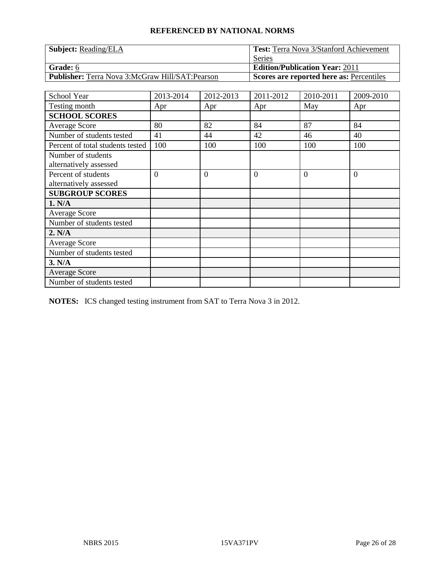| <b>Subject:</b> Reading/ELA                            | <b>Test:</b> Terra Nova 3/Stanford Achievement |  |  |
|--------------------------------------------------------|------------------------------------------------|--|--|
|                                                        | Series                                         |  |  |
| <b>Grade:</b> 6                                        | <b>Edition/Publication Year: 2011</b>          |  |  |
| <b>Publisher:</b> Terra Nova 3:McGraw Hill/SAT:Pearson | Scores are reported here as: Percentiles       |  |  |

| School Year                      | 2013-2014 | 2012-2013      | 2011-2012 | 2010-2011 | 2009-2010 |
|----------------------------------|-----------|----------------|-----------|-----------|-----------|
| Testing month                    | Apr       | Apr            | Apr       | May       | Apr       |
| <b>SCHOOL SCORES</b>             |           |                |           |           |           |
| <b>Average Score</b>             | 80        | 82             | 84        | 87        | 84        |
| Number of students tested        | 41        | 44             | 42        | 46        | 40        |
| Percent of total students tested | 100       | 100            | 100       | 100       | 100       |
| Number of students               |           |                |           |           |           |
| alternatively assessed           |           |                |           |           |           |
| Percent of students              | $\theta$  | $\overline{0}$ | $\theta$  | $\theta$  | $\theta$  |
| alternatively assessed           |           |                |           |           |           |
| <b>SUBGROUP SCORES</b>           |           |                |           |           |           |
| 1. N/A                           |           |                |           |           |           |
| <b>Average Score</b>             |           |                |           |           |           |
| Number of students tested        |           |                |           |           |           |
| 2. N/A                           |           |                |           |           |           |
| Average Score                    |           |                |           |           |           |
| Number of students tested        |           |                |           |           |           |
| 3. N/A                           |           |                |           |           |           |
| <b>Average Score</b>             |           |                |           |           |           |
| Number of students tested        |           |                |           |           |           |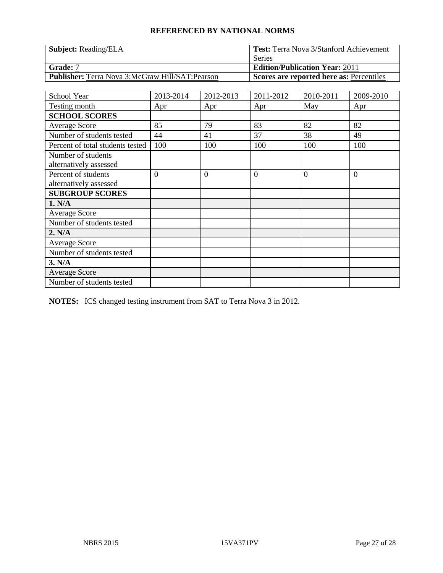| <b>Subject:</b> Reading/ELA                            | <b>Test:</b> Terra Nova 3/Stanford Achievement |  |  |
|--------------------------------------------------------|------------------------------------------------|--|--|
|                                                        | Series                                         |  |  |
| Grade: 7                                               | <b>Edition/Publication Year: 2011</b>          |  |  |
| <b>Publisher:</b> Terra Nova 3:McGraw Hill/SAT:Pearson | Scores are reported here as: Percentiles       |  |  |

| School Year                      | 2013-2014      | 2012-2013      | 2011-2012      | 2010-2011 | 2009-2010 |
|----------------------------------|----------------|----------------|----------------|-----------|-----------|
| Testing month                    | Apr            | Apr            | Apr            | May       | Apr       |
| <b>SCHOOL SCORES</b>             |                |                |                |           |           |
| <b>Average Score</b>             | 85             | 79             | 83             | 82        | 82        |
| Number of students tested        | 44             | 41             | 37             | 38        | 49        |
| Percent of total students tested | 100            | 100            | 100            | 100       | 100       |
| Number of students               |                |                |                |           |           |
| alternatively assessed           |                |                |                |           |           |
| Percent of students              | $\overline{0}$ | $\overline{0}$ | $\overline{0}$ | $\theta$  | $\theta$  |
| alternatively assessed           |                |                |                |           |           |
| <b>SUBGROUP SCORES</b>           |                |                |                |           |           |
| 1. N/A                           |                |                |                |           |           |
| <b>Average Score</b>             |                |                |                |           |           |
| Number of students tested        |                |                |                |           |           |
| 2. N/A                           |                |                |                |           |           |
| Average Score                    |                |                |                |           |           |
| Number of students tested        |                |                |                |           |           |
| 3. N/A                           |                |                |                |           |           |
| <b>Average Score</b>             |                |                |                |           |           |
| Number of students tested        |                |                |                |           |           |